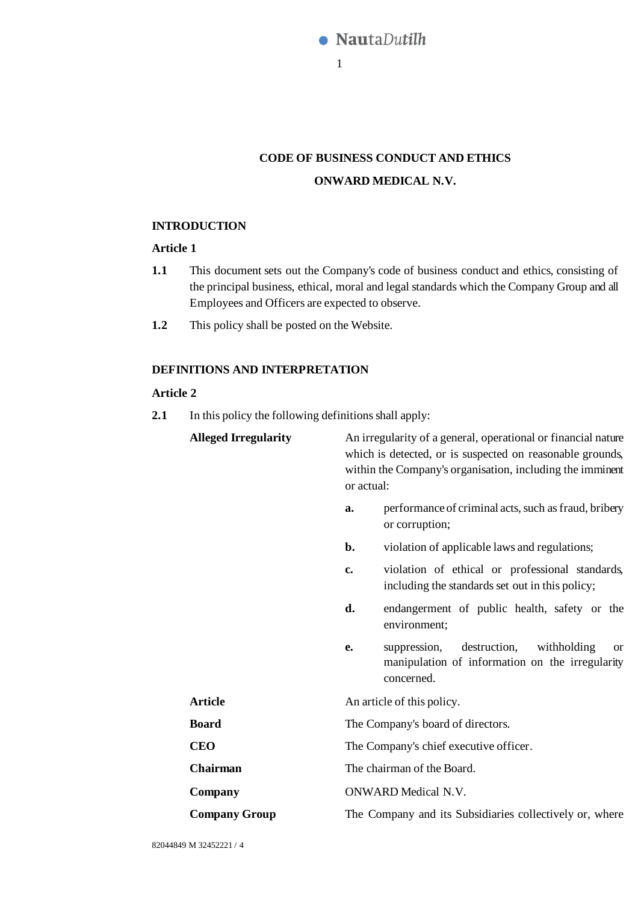

# **CODE OF BUSINESS CONDUCT AND ETHICS ONWARD MEDICAL N.V.**

# **INTRODUCTION**

# **Article 1**

- **1.1** This document sets out the Company's code of business conduct and ethics, consisting of the principal business, ethical, moral and legal standards which the Company Group and all Employees and Officers are expected to observe.
- **1.2** This policy shall be posted on the Website.

# **DEFINITIONS AND INTERPRETATION**

### **Article 2**

**2.1** In this policy the following definitions shall apply:

| <b>Alleged Irregularity</b> | An irregularity of a general, operational or financial nature<br>which is detected, or is suspected on reasonable grounds,<br>within the Company's organisation, including the imminent<br>or actual: |                                                                                                                               |
|-----------------------------|-------------------------------------------------------------------------------------------------------------------------------------------------------------------------------------------------------|-------------------------------------------------------------------------------------------------------------------------------|
|                             | a.                                                                                                                                                                                                    | performance of criminal acts, such as fraud, bribery<br>or corruption;                                                        |
|                             | $\mathbf{b}$ .                                                                                                                                                                                        | violation of applicable laws and regulations;                                                                                 |
|                             | c.                                                                                                                                                                                                    | violation of ethical or professional standards,<br>including the standards set out in this policy;                            |
|                             | d.                                                                                                                                                                                                    | endangerment of public health, safety or the<br>environment;                                                                  |
|                             | e.                                                                                                                                                                                                    | destruction,<br>withholding<br>suppression,<br><sub>or</sub><br>manipulation of information on the irregularity<br>concerned. |
| <b>Article</b>              | An article of this policy.                                                                                                                                                                            |                                                                                                                               |
| <b>Board</b>                | The Company's board of directors.                                                                                                                                                                     |                                                                                                                               |
| <b>CEO</b>                  | The Company's chief executive officer.                                                                                                                                                                |                                                                                                                               |
| Chairman                    | The chairman of the Board.                                                                                                                                                                            |                                                                                                                               |
| Company                     | <b>ONWARD</b> Medical N.V.                                                                                                                                                                            |                                                                                                                               |
| <b>Company Group</b>        | The Company and its Subsidiaries collectively or, where                                                                                                                                               |                                                                                                                               |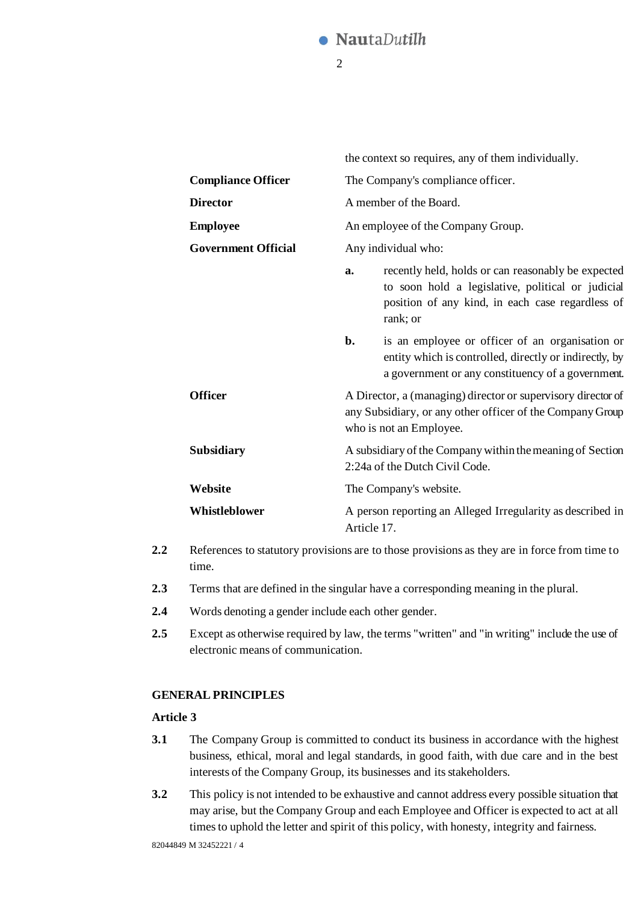

2

|                            | the context so requires, any or them mulvidually.                                                                                                                             |  |
|----------------------------|-------------------------------------------------------------------------------------------------------------------------------------------------------------------------------|--|
| <b>Compliance Officer</b>  | The Company's compliance officer.                                                                                                                                             |  |
| <b>Director</b>            | A member of the Board.                                                                                                                                                        |  |
| <b>Employee</b>            | An employee of the Company Group.                                                                                                                                             |  |
| <b>Government Official</b> | Any individual who:                                                                                                                                                           |  |
|                            | recently held, holds or can reasonably be expected<br>a.<br>to soon hold a legislative, political or judicial<br>position of any kind, in each case regardless of<br>rank; or |  |
|                            | b.<br>is an employee or officer of an organisation or<br>entity which is controlled, directly or indirectly, by<br>a government or any constituency of a government.          |  |
| <b>Officer</b>             | A Director, a (managing) director or supervisory director of<br>any Subsidiary, or any other officer of the Company Group<br>who is not an Employee.                          |  |
| <b>Subsidiary</b>          | A subsidiary of the Company within the meaning of Section<br>2:24a of the Dutch Civil Code.                                                                                   |  |
| Website                    | The Company's website.                                                                                                                                                        |  |
| Whistleblower              | A person reporting an Alleged Irregularity as described in<br>Article 17.                                                                                                     |  |
|                            |                                                                                                                                                                               |  |

the context so requires, any of them individually.

- **2.2** References to statutory provisions are to those provisions as they are in force from time to time.
- **2.3** Terms that are defined in the singular have a corresponding meaning in the plural.
- **2.4** Words denoting a gender include each other gender.
- **2.5** Except as otherwise required by law, the terms "written" and "in writing" include the use of electronic means of communication.

# **GENERAL PRINCIPLES**

- **3.1** The Company Group is committed to conduct its business in accordance with the highest business, ethical, moral and legal standards, in good faith, with due care and in the best interests of the Company Group, its businesses and its stakeholders.
- **3.2** This policy is not intended to be exhaustive and cannot address every possible situation that may arise, but the Company Group and each Employee and Officer is expected to act at all times to uphold the letter and spirit of this policy, with honesty, integrity and fairness.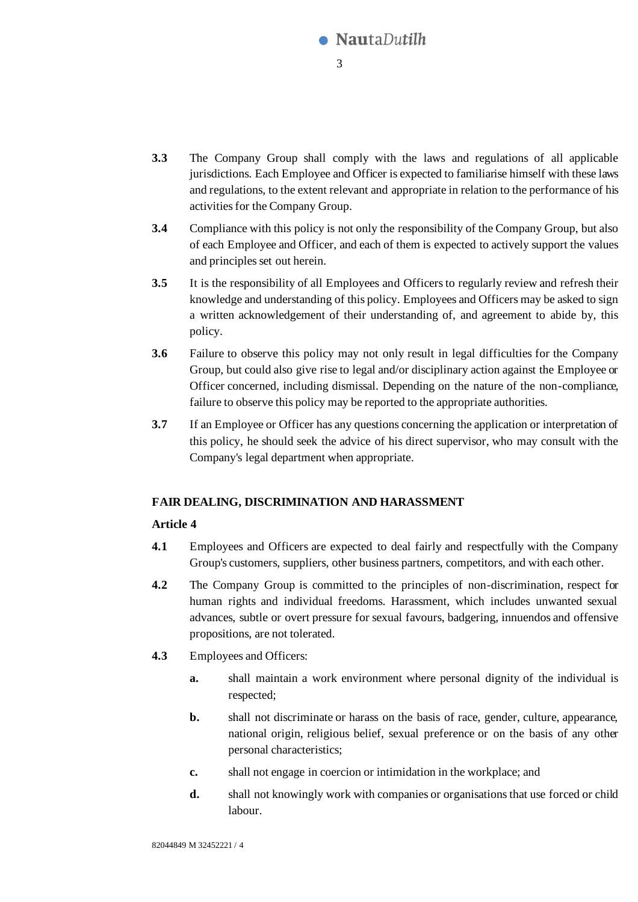

- **3.3** The Company Group shall comply with the laws and regulations of all applicable jurisdictions. Each Employee and Officer is expected to familiarise himself with these laws and regulations, to the extent relevant and appropriate in relation to the performance of his activities for the Company Group.
- **3.4** Compliance with this policy is not only the responsibility of the Company Group, but also of each Employee and Officer, and each of them is expected to actively support the values and principles set out herein.
- **3.5** It is the responsibility of all Employees and Officers to regularly review and refresh their knowledge and understanding of this policy. Employees and Officers may be asked to sign a written acknowledgement of their understanding of, and agreement to abide by, this policy.
- **3.6** Failure to observe this policy may not only result in legal difficulties for the Company Group, but could also give rise to legal and/or disciplinary action against the Employee or Officer concerned, including dismissal. Depending on the nature of the non-compliance, failure to observe this policy may be reported to the appropriate authorities.
- **3.7** If an Employee or Officer has any questions concerning the application or interpretation of this policy, he should seek the advice of his direct supervisor, who may consult with the Company's legal department when appropriate.

# **FAIR DEALING, DISCRIMINATION AND HARASSMENT**

- **4.1** Employees and Officers are expected to deal fairly and respectfully with the Company Group's customers, suppliers, other business partners, competitors, and with each other.
- **4.2** The Company Group is committed to the principles of non-discrimination, respect for human rights and individual freedoms. Harassment, which includes unwanted sexual advances, subtle or overt pressure for sexual favours, badgering, innuendos and offensive propositions, are not tolerated.
- **4.3** Employees and Officers:
	- **a.** shall maintain a work environment where personal dignity of the individual is respected;
	- **b.** shall not discriminate or harass on the basis of race, gender, culture, appearance, national origin, religious belief, sexual preference or on the basis of any other personal characteristics;
	- **c.** shall not engage in coercion or intimidation in the workplace; and
	- **d.** shall not knowingly work with companies or organisations that use forced or child labour.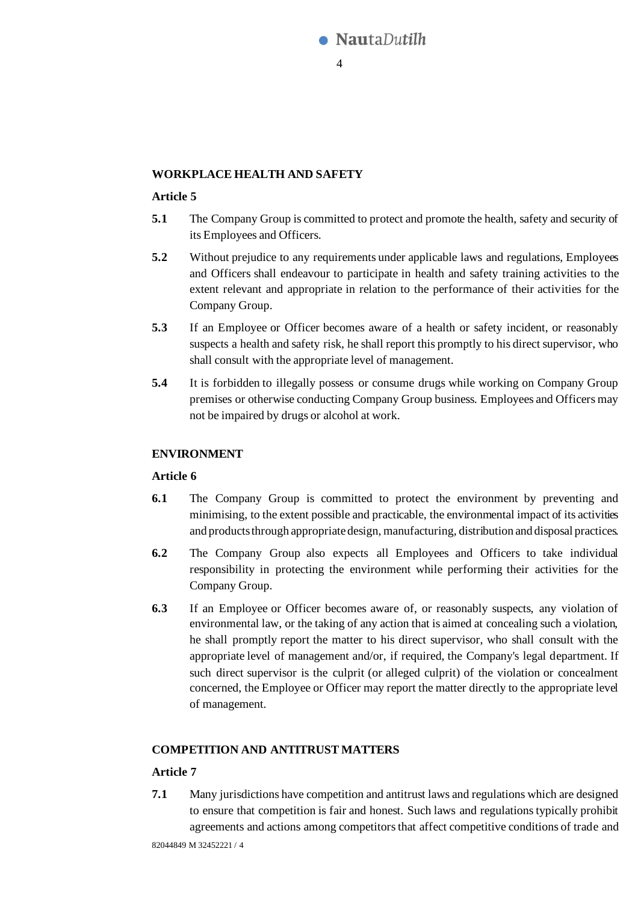

### **WORKPLACE HEALTH AND SAFETY**

#### **Article 5**

- **5.1** The Company Group is committed to protect and promote the health, safety and security of its Employees and Officers.
- **5.2** Without prejudice to any requirements under applicable laws and regulations, Employees and Officers shall endeavour to participate in health and safety training activities to the extent relevant and appropriate in relation to the performance of their activities for the Company Group.
- **5.3** If an Employee or Officer becomes aware of a health or safety incident, or reasonably suspects a health and safety risk, he shall report this promptly to his direct supervisor, who shall consult with the appropriate level of management.
- **5.4** It is forbidden to illegally possess or consume drugs while working on Company Group premises or otherwise conducting Company Group business. Employees and Officers may not be impaired by drugs or alcohol at work.

#### **ENVIRONMENT**

#### **Article 6**

- **6.1** The Company Group is committed to protect the environment by preventing and minimising, to the extent possible and practicable, the environmental impact of its activities and products through appropriate design, manufacturing, distribution and disposal practices.
- **6.2** The Company Group also expects all Employees and Officers to take individual responsibility in protecting the environment while performing their activities for the Company Group.
- **6.3** If an Employee or Officer becomes aware of, or reasonably suspects, any violation of environmental law, or the taking of any action that is aimed at concealing such a violation, he shall promptly report the matter to his direct supervisor, who shall consult with the appropriate level of management and/or, if required, the Company's legal department. If such direct supervisor is the culprit (or alleged culprit) of the violation or concealment concerned, the Employee or Officer may report the matter directly to the appropriate level of management.

### **COMPETITION AND ANTITRUST MATTERS**

#### **Article 7**

**7.1** Many jurisdictions have competition and antitrust laws and regulations which are designed to ensure that competition is fair and honest. Such laws and regulations typically prohibit agreements and actions among competitors that affect competitive conditions of trade and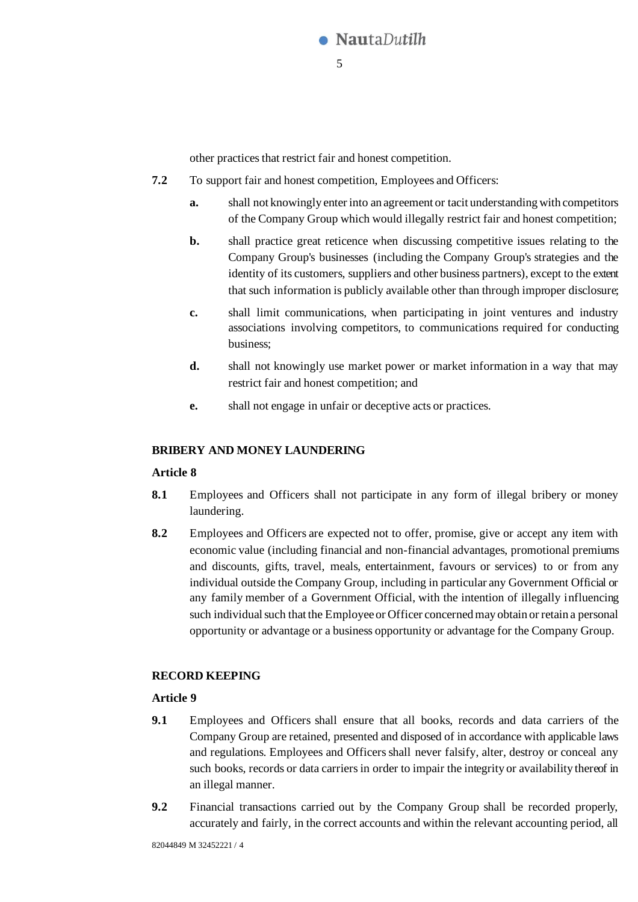

other practices that restrict fair and honest competition.

- **7.2** To support fair and honest competition, Employees and Officers:
	- **a.** shall not knowingly enter into an agreement or tacit understanding with competitors of the Company Group which would illegally restrict fair and honest competition;
	- **b.** shall practice great reticence when discussing competitive issues relating to the Company Group's businesses (including the Company Group's strategies and the identity of its customers, suppliers and other business partners), except to the extent that such information is publicly available other than through improper disclosure;
	- **c.** shall limit communications, when participating in joint ventures and industry associations involving competitors, to communications required for conducting business;
	- **d.** shall not knowingly use market power or market information in a way that may restrict fair and honest competition; and
	- **e.** shall not engage in unfair or deceptive acts or practices.

# **BRIBERY AND MONEY LAUNDERING**

### **Article 8**

- **8.1** Employees and Officers shall not participate in any form of illegal bribery or money laundering.
- **8.2** Employees and Officers are expected not to offer, promise, give or accept any item with economic value (including financial and non-financial advantages, promotional premiums and discounts, gifts, travel, meals, entertainment, favours or services) to or from any individual outside the Company Group, including in particular any Government Official or any family member of a Government Official, with the intention of illegally influencing such individual such that the Employee or Officer concerned may obtain or retain a personal opportunity or advantage or a business opportunity or advantage for the Company Group.

### **RECORD KEEPING**

- **9.1** Employees and Officers shall ensure that all books, records and data carriers of the Company Group are retained, presented and disposed of in accordance with applicable laws and regulations. Employees and Officers shall never falsify, alter, destroy or conceal any such books, records or data carriers in order to impair the integrity or availability thereof in an illegal manner.
- **9.2** Financial transactions carried out by the Company Group shall be recorded properly, accurately and fairly, in the correct accounts and within the relevant accounting period, all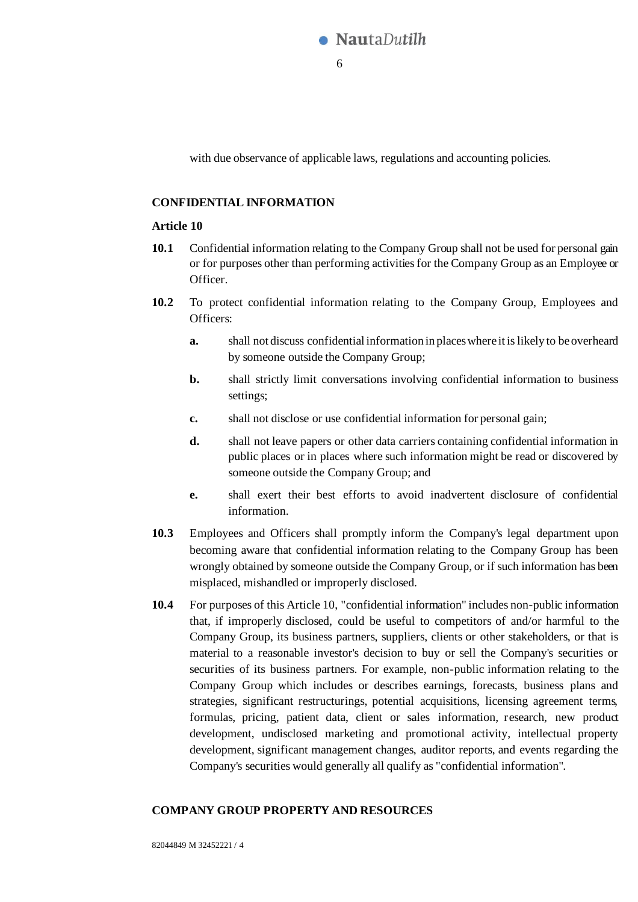

with due observance of applicable laws, regulations and accounting policies.

### **CONFIDENTIAL INFORMATION**

### <span id="page-5-0"></span>**Article 10**

- **10.1** Confidential information relating to the Company Group shall not be used for personal gain or for purposes other than performing activities for the Company Group as an Employee or Officer.
- **10.2** To protect confidential information relating to the Company Group, Employees and Officers:
	- **a.** shall not discuss confidential information in places where it is likely to be overheard by someone outside the Company Group;
	- **b.** shall strictly limit conversations involving confidential information to business settings;
	- **c.** shall not disclose or use confidential information for personal gain;
	- **d.** shall not leave papers or other data carriers containing confidential information in public places or in places where such information might be read or discovered by someone outside the Company Group; and
	- **e.** shall exert their best efforts to avoid inadvertent disclosure of confidential information.
- **10.3** Employees and Officers shall promptly inform the Company's legal department upon becoming aware that confidential information relating to the Company Group has been wrongly obtained by someone outside the Company Group, or if such information has been misplaced, mishandled or improperly disclosed.
- **10.4** For purposes of thi[s Article 10,](#page-5-0) "confidential information" includes non-public information that, if improperly disclosed, could be useful to competitors of and/or harmful to the Company Group, its business partners, suppliers, clients or other stakeholders, or that is material to a reasonable investor's decision to buy or sell the Company's securities or securities of its business partners. For example, non-public information relating to the Company Group which includes or describes earnings, forecasts, business plans and strategies, significant restructurings, potential acquisitions, licensing agreement terms, formulas, pricing, patient data, client or sales information, research, new product development, undisclosed marketing and promotional activity, intellectual property development, significant management changes, auditor reports, and events regarding the Company's securities would generally all qualify as "confidential information".

# **COMPANY GROUP PROPERTY AND RESOURCES**

82044849 M 32452221 / 4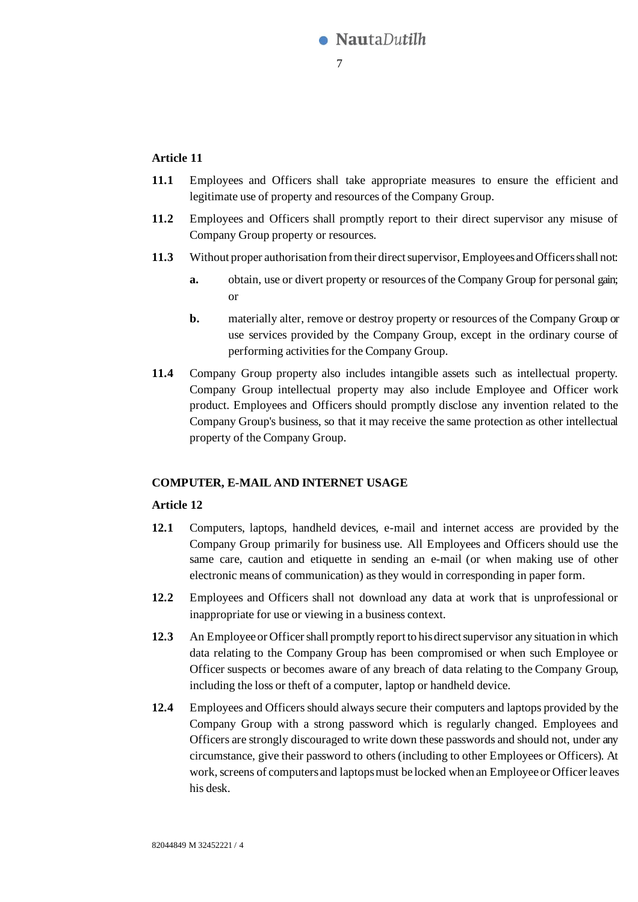

# **Article 11**

- **11.1** Employees and Officers shall take appropriate measures to ensure the efficient and legitimate use of property and resources of the Company Group.
- **11.2** Employees and Officers shall promptly report to their direct supervisor any misuse of Company Group property or resources.
- **11.3** Without proper authorisation from their direct supervisor, Employees and Officers shall not:
	- **a.** obtain, use or divert property or resources of the Company Group for personal gain; or
	- **b.** materially alter, remove or destroy property or resources of the Company Group or use services provided by the Company Group, except in the ordinary course of performing activities for the Company Group.
- **11.4** Company Group property also includes intangible assets such as intellectual property. Company Group intellectual property may also include Employee and Officer work product. Employees and Officers should promptly disclose any invention related to the Company Group's business, so that it may receive the same protection as other intellectual property of the Company Group.

### **COMPUTER, E-MAIL AND INTERNET USAGE**

- **12.1** Computers, laptops, handheld devices, e-mail and internet access are provided by the Company Group primarily for business use. All Employees and Officers should use the same care, caution and etiquette in sending an e-mail (or when making use of other electronic means of communication) as they would in corresponding in paper form.
- **12.2** Employees and Officers shall not download any data at work that is unprofessional or inappropriate for use or viewing in a business context.
- **12.3** An Employee or Officer shall promptly report to his direct supervisor any situation in which data relating to the Company Group has been compromised or when such Employee or Officer suspects or becomes aware of any breach of data relating to the Company Group, including the loss or theft of a computer, laptop or handheld device.
- **12.4** Employees and Officers should always secure their computers and laptops provided by the Company Group with a strong password which is regularly changed. Employees and Officers are strongly discouraged to write down these passwords and should not, under any circumstance, give their password to others (including to other Employees or Officers). At work, screens of computers and laptops must be locked when an Employee or Officer leaves his desk.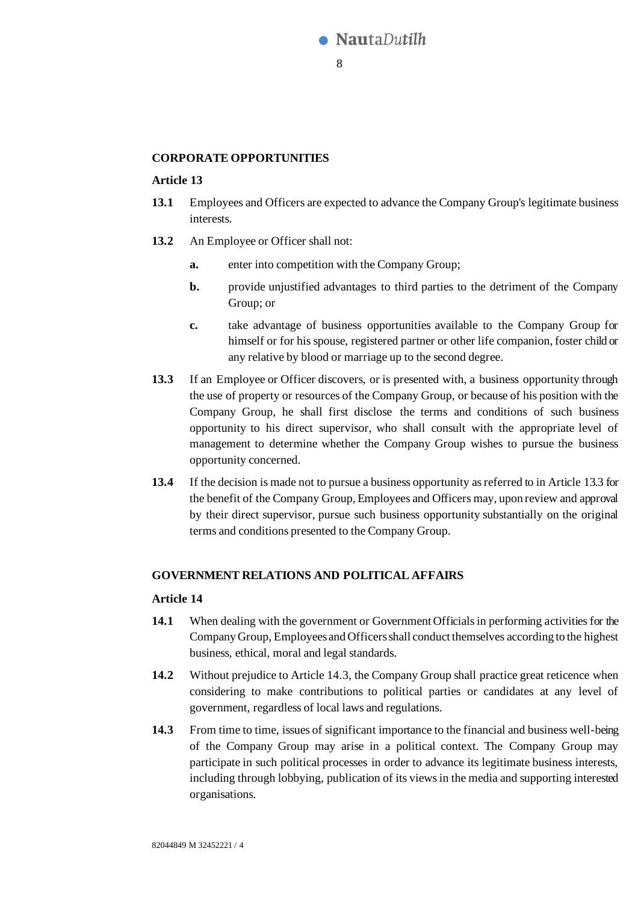

### **CORPORATE OPPORTUNITIES**

### **Article 13**

- **13.1** Employees and Officers are expected to advance the Company Group's legitimate business interests.
- 13.2 An Employee or Officer shall not:
	- **a.** enter into competition with the Company Group;
	- **b.** provide unjustified advantages to third parties to the detriment of the Company Group; or
	- **c.** take advantage of business opportunities available to the Company Group for himself or for his spouse, registered partner or other life companion, foster child or any relative by blood or marriage up to the second degree.
- <span id="page-7-0"></span>**13.3** If an Employee or Officer discovers, or is presented with, a business opportunity through the use of property or resources of the Company Group, or because of his position with the Company Group, he shall first disclose the terms and conditions of such business opportunity to his direct supervisor, who shall consult with the appropriate level of management to determine whether the Company Group wishes to pursue the business opportunity concerned.
- **13.4** If the decision is made not to pursue a business opportunity as referred to in Articl[e 13.3](#page-7-0) for the benefit of the Company Group, Employees and Officers may, upon review and approval by their direct supervisor, pursue such business opportunity substantially on the original terms and conditions presented to the Company Group.

### **GOVERNMENT RELATIONS AND POLITICAL AFFAIRS**

- 14.1 When dealing with the government or Government Officials in performing activities for the Company Group, Employees and Officers shall conduct themselves according to the highest business, ethical, moral and legal standards.
- **14.2** Without prejudice to Article [14.3,](#page-7-1) the Company Group shall practice great reticence when considering to make contributions to political parties or candidates at any level of government, regardless of local laws and regulations.
- <span id="page-7-1"></span>**14.3** From time to time, issues of significant importance to the financial and business well-being of the Company Group may arise in a political context. The Company Group may participate in such political processes in order to advance its legitimate business interests, including through lobbying, publication of its views in the media and supporting interested organisations.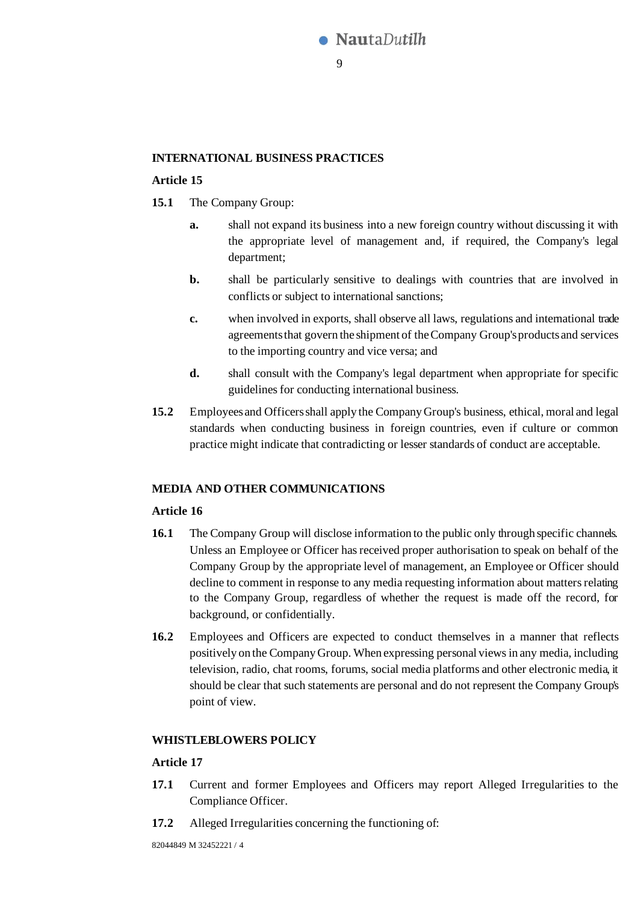

### **INTERNATIONAL BUSINESS PRACTICES**

#### **Article 15**

- **15.1** The Company Group:
	- **a.** shall not expand its business into a new foreign country without discussing it with the appropriate level of management and, if required, the Company's legal department;
	- **b.** shall be particularly sensitive to dealings with countries that are involved in conflicts or subject to international sanctions;
	- **c.** when involved in exports, shall observe all laws, regulations and international trade agreements that govern the shipment of the Company Group's products and services to the importing country and vice versa; and
	- **d.** shall consult with the Company's legal department when appropriate for specific guidelines for conducting international business.
- **15.2** Employees and Officers shall apply the Company Group's business, ethical, moral and legal standards when conducting business in foreign countries, even if culture or common practice might indicate that contradicting or lesser standards of conduct are acceptable.

#### **MEDIA AND OTHER COMMUNICATIONS**

#### **Article 16**

- **16.1** The Company Group will disclose information to the public only through specific channels. Unless an Employee or Officer has received proper authorisation to speak on behalf of the Company Group by the appropriate level of management, an Employee or Officer should decline to comment in response to any media requesting information about matters relating to the Company Group, regardless of whether the request is made off the record, for background, or confidentially.
- **16.2** Employees and Officers are expected to conduct themselves in a manner that reflects positively on the Company Group. When expressing personal views in any media, including television, radio, chat rooms, forums, social media platforms and other electronic media, it should be clear that such statements are personal and do not represent the Company Group's point of view.

#### <span id="page-8-0"></span>**WHISTLEBLOWERS POLICY**

- **17.1** Current and former Employees and Officers may report Alleged Irregularities to the Compliance Officer.
- **17.2** Alleged Irregularities concerning the functioning of: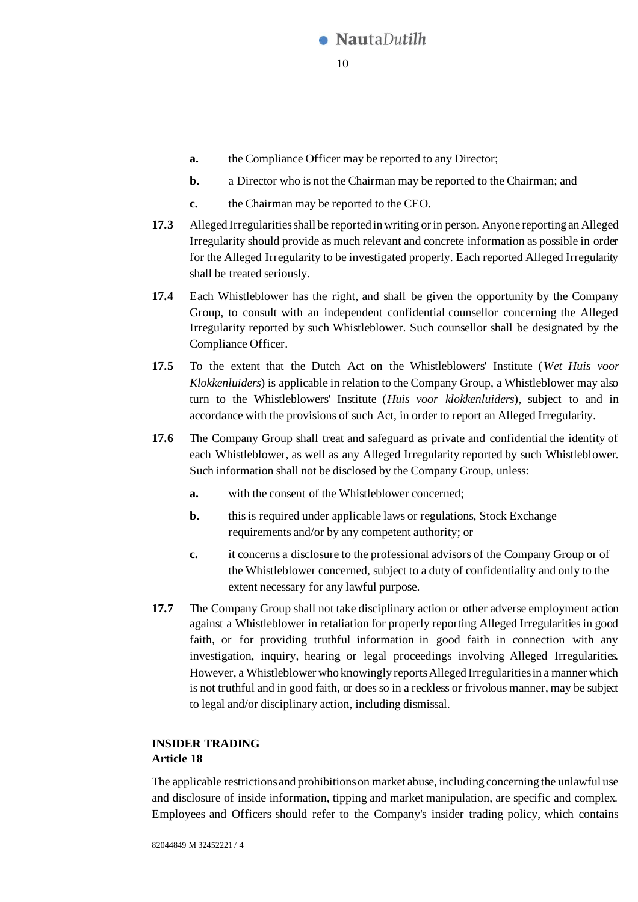

- **a.** the Compliance Officer may be reported to any Director;
- **b.** a Director who is not the Chairman may be reported to the Chairman; and
- **c.** the Chairman may be reported to the CEO.
- **17.3** Alleged Irregularities shall be reported in writing or in person. Anyone reporting an Alleged Irregularity should provide as much relevant and concrete information as possible in order for the Alleged Irregularity to be investigated properly. Each reported Alleged Irregularity shall be treated seriously.
- **17.4** Each Whistleblower has the right, and shall be given the opportunity by the Company Group, to consult with an independent confidential counsellor concerning the Alleged Irregularity reported by such Whistleblower. Such counsellor shall be designated by the Compliance Officer.
- **17.5** To the extent that the Dutch Act on the Whistleblowers' Institute (*Wet Huis voor Klokkenluiders*) is applicable in relation to the Company Group, a Whistleblower may also turn to the Whistleblowers' Institute (*Huis voor klokkenluiders*), subject to and in accordance with the provisions of such Act, in order to report an Alleged Irregularity.
- **17.6** The Company Group shall treat and safeguard as private and confidential the identity of each Whistleblower, as well as any Alleged Irregularity reported by such Whistleblower. Such information shall not be disclosed by the Company Group, unless:
	- **a.** with the consent of the Whistleblower concerned;
	- **b.** this is required under applicable laws or regulations, Stock Exchange requirements and/or by any competent authority; or
	- **c.** it concerns a disclosure to the professional advisors of the Company Group or of the Whistleblower concerned, subject to a duty of confidentiality and only to the extent necessary for any lawful purpose.
- **17.7** The Company Group shall not take disciplinary action or other adverse employment action against a Whistleblower in retaliation for properly reporting Alleged Irregularities in good faith, or for providing truthful information in good faith in connection with any investigation, inquiry, hearing or legal proceedings involving Alleged Irregularities. However, a Whistleblower who knowingly reports Alleged Irregularities in a manner which is not truthful and in good faith, or does so in a reckless or frivolous manner, may be subject to legal and/or disciplinary action, including dismissal.

# **INSIDER TRADING Article 18**

The applicable restrictions and prohibitions on market abuse, including concerning the unlawful use and disclosure of inside information, tipping and market manipulation, are specific and complex. Employees and Officers should refer to the Company's insider trading policy, which contains